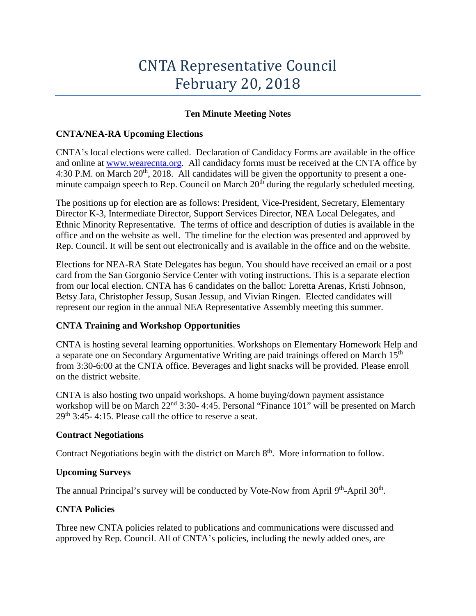# CNTA Representative Council February 20, 2018

# **Ten Minute Meeting Notes**

# **CNTA/NEA-RA Upcoming Elections**

CNTA's local elections were called. Declaration of Candidacy Forms are available in the office and online at [www.wearecnta.org.](http://www.wearecnta.org/) All candidacy forms must be received at the CNTA office by 4:30 P.M. on March  $20<sup>th</sup>$ , 2018. All candidates will be given the opportunity to present a oneminute campaign speech to Rep. Council on March  $20<sup>th</sup>$  during the regularly scheduled meeting.

The positions up for election are as follows: President, Vice-President, Secretary, Elementary Director K-3, Intermediate Director, Support Services Director, NEA Local Delegates, and Ethnic Minority Representative. The terms of office and description of duties is available in the office and on the website as well. The timeline for the election was presented and approved by Rep. Council. It will be sent out electronically and is available in the office and on the website.

Elections for NEA-RA State Delegates has begun. You should have received an email or a post card from the San Gorgonio Service Center with voting instructions. This is a separate election from our local election. CNTA has 6 candidates on the ballot: Loretta Arenas, Kristi Johnson, Betsy Jara, Christopher Jessup, Susan Jessup, and Vivian Ringen. Elected candidates will represent our region in the annual NEA Representative Assembly meeting this summer.

# **CNTA Training and Workshop Opportunities**

CNTA is hosting several learning opportunities. Workshops on Elementary Homework Help and a separate one on Secondary Argumentative Writing are paid trainings offered on March 15<sup>th</sup> from 3:30-6:00 at the CNTA office. Beverages and light snacks will be provided. Please enroll on the district website.

CNTA is also hosting two unpaid workshops. A home buying/down payment assistance workshop will be on March 22<sup>nd</sup> 3:30- 4:45. Personal "Finance 101" will be presented on March  $29<sup>th</sup>$  3:45- 4:15. Please call the office to reserve a seat.

# **Contract Negotiations**

Contract Negotiations begin with the district on March 8<sup>th</sup>. More information to follow.

# **Upcoming Surveys**

The annual Principal's survey will be conducted by Vote-Now from April  $9<sup>th</sup>$ -April  $30<sup>th</sup>$ .

# **CNTA Policies**

Three new CNTA policies related to publications and communications were discussed and approved by Rep. Council. All of CNTA's policies, including the newly added ones, are